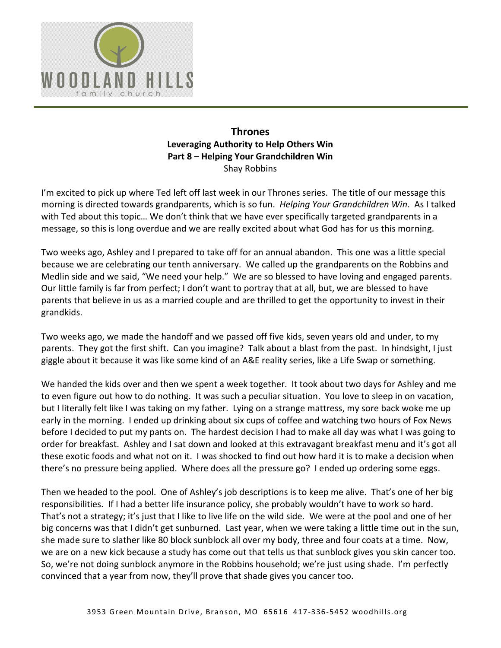

## **Thrones Leveraging Authority to Help Others Win Part 8 – Helping Your Grandchildren Win**  Shay Robbins

I'm excited to pick up where Ted left off last week in our Thrones series. The title of our message this morning is directed towards grandparents, which is so fun. *Helping Your Grandchildren Win*. As I talked with Ted about this topic… We don't think that we have ever specifically targeted grandparents in a message, so this is long overdue and we are really excited about what God has for us this morning.

Two weeks ago, Ashley and I prepared to take off for an annual abandon. This one was a little special because we are celebrating our tenth anniversary. We called up the grandparents on the Robbins and Medlin side and we said, "We need your help." We are so blessed to have loving and engaged parents. Our little family is far from perfect; I don't want to portray that at all, but, we are blessed to have parents that believe in us as a married couple and are thrilled to get the opportunity to invest in their grandkids.

Two weeks ago, we made the handoff and we passed off five kids, seven years old and under, to my parents. They got the first shift. Can you imagine? Talk about a blast from the past. In hindsight, I just giggle about it because it was like some kind of an A&E reality series, like a Life Swap or something.

We handed the kids over and then we spent a week together. It took about two days for Ashley and me to even figure out how to do nothing. It was such a peculiar situation. You love to sleep in on vacation, but I literally felt like I was taking on my father. Lying on a strange mattress, my sore back woke me up early in the morning. I ended up drinking about six cups of coffee and watching two hours of Fox News before I decided to put my pants on. The hardest decision I had to make all day was what I was going to order for breakfast. Ashley and I sat down and looked at this extravagant breakfast menu and it's got all these exotic foods and what not on it. I was shocked to find out how hard it is to make a decision when there's no pressure being applied. Where does all the pressure go? I ended up ordering some eggs.

Then we headed to the pool. One of Ashley's job descriptions is to keep me alive. That's one of her big responsibilities. If I had a better life insurance policy, she probably wouldn't have to work so hard. That's not a strategy; it's just that I like to live life on the wild side. We were at the pool and one of her big concerns was that I didn't get sunburned. Last year, when we were taking a little time out in the sun, she made sure to slather like 80 block sunblock all over my body, three and four coats at a time. Now, we are on a new kick because a study has come out that tells us that sunblock gives you skin cancer too. So, we're not doing sunblock anymore in the Robbins household; we're just using shade. I'm perfectly convinced that a year from now, they'll prove that shade gives you cancer too.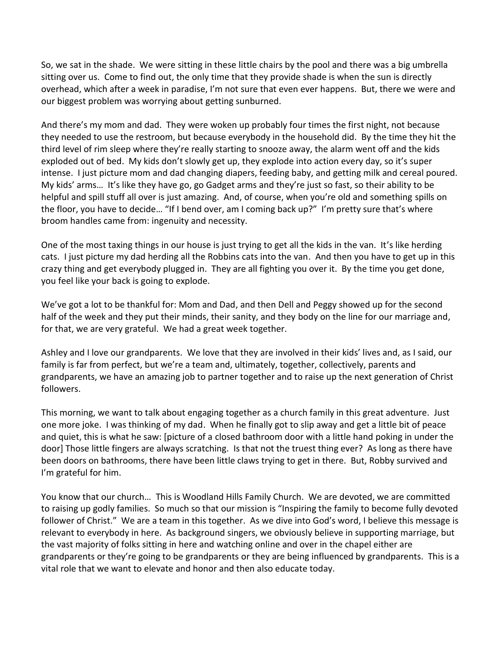So, we sat in the shade. We were sitting in these little chairs by the pool and there was a big umbrella sitting over us. Come to find out, the only time that they provide shade is when the sun is directly overhead, which after a week in paradise, I'm not sure that even ever happens. But, there we were and our biggest problem was worrying about getting sunburned.

And there's my mom and dad. They were woken up probably four times the first night, not because they needed to use the restroom, but because everybody in the household did. By the time they hit the third level of rim sleep where they're really starting to snooze away, the alarm went off and the kids exploded out of bed. My kids don't slowly get up, they explode into action every day, so it's super intense. I just picture mom and dad changing diapers, feeding baby, and getting milk and cereal poured. My kids' arms… It's like they have go, go Gadget arms and they're just so fast, so their ability to be helpful and spill stuff all over is just amazing. And, of course, when you're old and something spills on the floor, you have to decide… "If I bend over, am I coming back up?" I'm pretty sure that's where broom handles came from: ingenuity and necessity.

One of the most taxing things in our house is just trying to get all the kids in the van. It's like herding cats. I just picture my dad herding all the Robbins cats into the van. And then you have to get up in this crazy thing and get everybody plugged in. They are all fighting you over it. By the time you get done, you feel like your back is going to explode.

We've got a lot to be thankful for: Mom and Dad, and then Dell and Peggy showed up for the second half of the week and they put their minds, their sanity, and they body on the line for our marriage and, for that, we are very grateful. We had a great week together.

Ashley and I love our grandparents. We love that they are involved in their kids' lives and, as I said, our family is far from perfect, but we're a team and, ultimately, together, collectively, parents and grandparents, we have an amazing job to partner together and to raise up the next generation of Christ followers.

This morning, we want to talk about engaging together as a church family in this great adventure. Just one more joke. I was thinking of my dad. When he finally got to slip away and get a little bit of peace and quiet, this is what he saw: [picture of a closed bathroom door with a little hand poking in under the door] Those little fingers are always scratching. Is that not the truest thing ever? As long as there have been doors on bathrooms, there have been little claws trying to get in there. But, Robby survived and I'm grateful for him.

You know that our church… This is Woodland Hills Family Church. We are devoted, we are committed to raising up godly families. So much so that our mission is "Inspiring the family to become fully devoted follower of Christ." We are a team in this together. As we dive into God's word, I believe this message is relevant to everybody in here. As background singers, we obviously believe in supporting marriage, but the vast majority of folks sitting in here and watching online and over in the chapel either are grandparents or they're going to be grandparents or they are being influenced by grandparents. This is a vital role that we want to elevate and honor and then also educate today.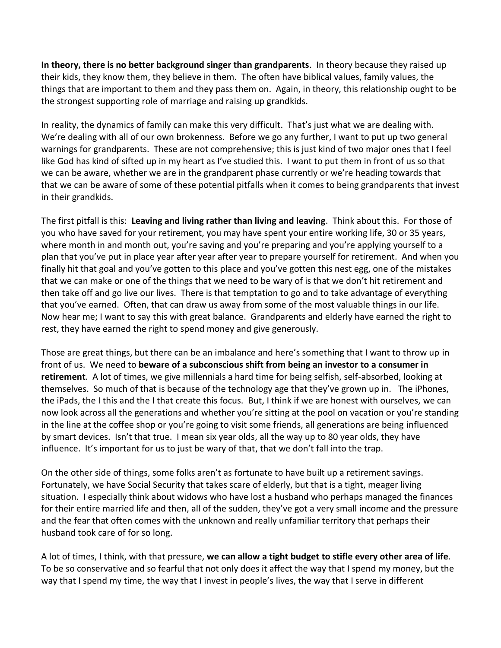**In theory, there is no better background singer than grandparents**. In theory because they raised up their kids, they know them, they believe in them. The often have biblical values, family values, the things that are important to them and they pass them on. Again, in theory, this relationship ought to be the strongest supporting role of marriage and raising up grandkids.

In reality, the dynamics of family can make this very difficult. That's just what we are dealing with. We're dealing with all of our own brokenness. Before we go any further, I want to put up two general warnings for grandparents. These are not comprehensive; this is just kind of two major ones that I feel like God has kind of sifted up in my heart as I've studied this. I want to put them in front of us so that we can be aware, whether we are in the grandparent phase currently or we're heading towards that that we can be aware of some of these potential pitfalls when it comes to being grandparents that invest in their grandkids.

The first pitfall is this: **Leaving and living rather than living and leaving**. Think about this. For those of you who have saved for your retirement, you may have spent your entire working life, 30 or 35 years, where month in and month out, you're saving and you're preparing and you're applying yourself to a plan that you've put in place year after year after year to prepare yourself for retirement. And when you finally hit that goal and you've gotten to this place and you've gotten this nest egg, one of the mistakes that we can make or one of the things that we need to be wary of is that we don't hit retirement and then take off and go live our lives. There is that temptation to go and to take advantage of everything that you've earned. Often, that can draw us away from some of the most valuable things in our life. Now hear me; I want to say this with great balance. Grandparents and elderly have earned the right to rest, they have earned the right to spend money and give generously.

Those are great things, but there can be an imbalance and here's something that I want to throw up in front of us. We need to **beware of a subconscious shift from being an investor to a consumer in retirement**. A lot of times, we give millennials a hard time for being selfish, self-absorbed, looking at themselves. So much of that is because of the technology age that they've grown up in. The iPhones, the iPads, the I this and the I that create this focus. But, I think if we are honest with ourselves, we can now look across all the generations and whether you're sitting at the pool on vacation or you're standing in the line at the coffee shop or you're going to visit some friends, all generations are being influenced by smart devices. Isn't that true. I mean six year olds, all the way up to 80 year olds, they have influence. It's important for us to just be wary of that, that we don't fall into the trap.

On the other side of things, some folks aren't as fortunate to have built up a retirement savings. Fortunately, we have Social Security that takes scare of elderly, but that is a tight, meager living situation. I especially think about widows who have lost a husband who perhaps managed the finances for their entire married life and then, all of the sudden, they've got a very small income and the pressure and the fear that often comes with the unknown and really unfamiliar territory that perhaps their husband took care of for so long.

A lot of times, I think, with that pressure, **we can allow a tight budget to stifle every other area of life**. To be so conservative and so fearful that not only does it affect the way that I spend my money, but the way that I spend my time, the way that I invest in people's lives, the way that I serve in different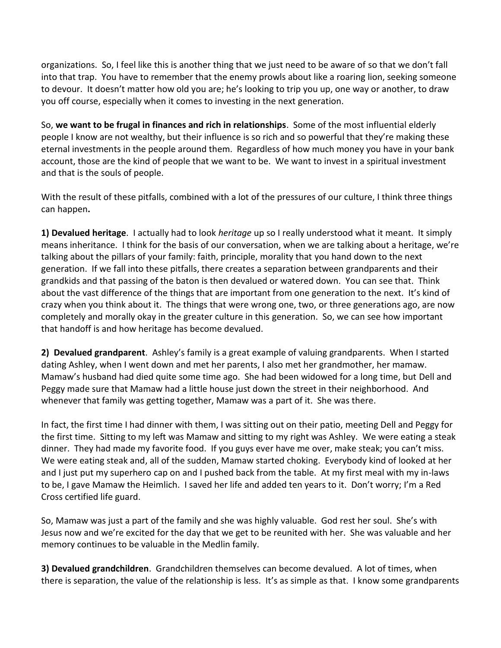organizations. So, I feel like this is another thing that we just need to be aware of so that we don't fall into that trap. You have to remember that the enemy prowls about like a roaring lion, seeking someone to devour. It doesn't matter how old you are; he's looking to trip you up, one way or another, to draw you off course, especially when it comes to investing in the next generation.

So, **we want to be frugal in finances and rich in relationships**. Some of the most influential elderly people I know are not wealthy, but their influence is so rich and so powerful that they're making these eternal investments in the people around them. Regardless of how much money you have in your bank account, those are the kind of people that we want to be. We want to invest in a spiritual investment and that is the souls of people.

With the result of these pitfalls, combined with a lot of the pressures of our culture, I think three things can happen**.** 

**1) Devalued heritage**. I actually had to look *heritage* up so I really understood what it meant. It simply means inheritance. I think for the basis of our conversation, when we are talking about a heritage, we're talking about the pillars of your family: faith, principle, morality that you hand down to the next generation. If we fall into these pitfalls, there creates a separation between grandparents and their grandkids and that passing of the baton is then devalued or watered down. You can see that. Think about the vast difference of the things that are important from one generation to the next. It's kind of crazy when you think about it. The things that were wrong one, two, or three generations ago, are now completely and morally okay in the greater culture in this generation. So, we can see how important that handoff is and how heritage has become devalued.

**2) Devalued grandparent**. Ashley's family is a great example of valuing grandparents. When I started dating Ashley, when I went down and met her parents, I also met her grandmother, her mamaw. Mamaw's husband had died quite some time ago. She had been widowed for a long time, but Dell and Peggy made sure that Mamaw had a little house just down the street in their neighborhood. And whenever that family was getting together, Mamaw was a part of it. She was there.

In fact, the first time I had dinner with them, I was sitting out on their patio, meeting Dell and Peggy for the first time. Sitting to my left was Mamaw and sitting to my right was Ashley. We were eating a steak dinner. They had made my favorite food. If you guys ever have me over, make steak; you can't miss. We were eating steak and, all of the sudden, Mamaw started choking. Everybody kind of looked at her and I just put my superhero cap on and I pushed back from the table. At my first meal with my in-laws to be, I gave Mamaw the Heimlich. I saved her life and added ten years to it. Don't worry; I'm a Red Cross certified life guard.

So, Mamaw was just a part of the family and she was highly valuable. God rest her soul. She's with Jesus now and we're excited for the day that we get to be reunited with her. She was valuable and her memory continues to be valuable in the Medlin family.

**3) Devalued grandchildren**. Grandchildren themselves can become devalued. A lot of times, when there is separation, the value of the relationship is less. It's as simple as that. I know some grandparents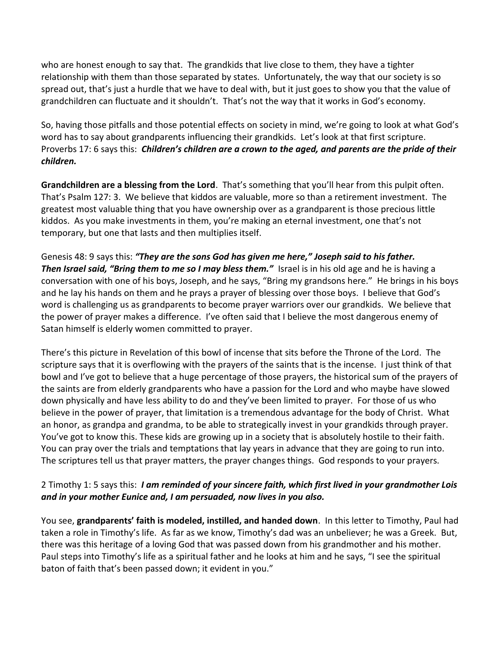who are honest enough to say that. The grandkids that live close to them, they have a tighter relationship with them than those separated by states. Unfortunately, the way that our society is so spread out, that's just a hurdle that we have to deal with, but it just goes to show you that the value of grandchildren can fluctuate and it shouldn't. That's not the way that it works in God's economy.

So, having those pitfalls and those potential effects on society in mind, we're going to look at what God's word has to say about grandparents influencing their grandkids. Let's look at that first scripture. Proverbs 17: 6 says this: *Children's children are a crown to the aged, and parents are the pride of their children.*

**Grandchildren are a blessing from the Lord**. That's something that you'll hear from this pulpit often. That's Psalm 127: 3. We believe that kiddos are valuable, more so than a retirement investment. The greatest most valuable thing that you have ownership over as a grandparent is those precious little kiddos. As you make investments in them, you're making an eternal investment, one that's not temporary, but one that lasts and then multiplies itself.

Genesis 48: 9 says this: *"They are the sons God has given me here," Joseph said to his father. Then Israel said, "Bring them to me so I may bless them."* Israel is in his old age and he is having a conversation with one of his boys, Joseph, and he says, "Bring my grandsons here." He brings in his boys and he lay his hands on them and he prays a prayer of blessing over those boys. I believe that God's word is challenging us as grandparents to become prayer warriors over our grandkids. We believe that the power of prayer makes a difference. I've often said that I believe the most dangerous enemy of Satan himself is elderly women committed to prayer.

There's this picture in Revelation of this bowl of incense that sits before the Throne of the Lord. The scripture says that it is overflowing with the prayers of the saints that is the incense. I just think of that bowl and I've got to believe that a huge percentage of those prayers, the historical sum of the prayers of the saints are from elderly grandparents who have a passion for the Lord and who maybe have slowed down physically and have less ability to do and they've been limited to prayer. For those of us who believe in the power of prayer, that limitation is a tremendous advantage for the body of Christ. What an honor, as grandpa and grandma, to be able to strategically invest in your grandkids through prayer. You've got to know this. These kids are growing up in a society that is absolutely hostile to their faith. You can pray over the trials and temptations that lay years in advance that they are going to run into. The scriptures tell us that prayer matters, the prayer changes things. God responds to your prayers.

## 2 Timothy 1: 5 says this: *I am reminded of your sincere faith, which first lived in your grandmother Lois and in your mother Eunice and, I am persuaded, now lives in you also.*

You see, **grandparents' faith is modeled, instilled, and handed down**. In this letter to Timothy, Paul had taken a role in Timothy's life. As far as we know, Timothy's dad was an unbeliever; he was a Greek. But, there was this heritage of a loving God that was passed down from his grandmother and his mother. Paul steps into Timothy's life as a spiritual father and he looks at him and he says, "I see the spiritual baton of faith that's been passed down; it evident in you."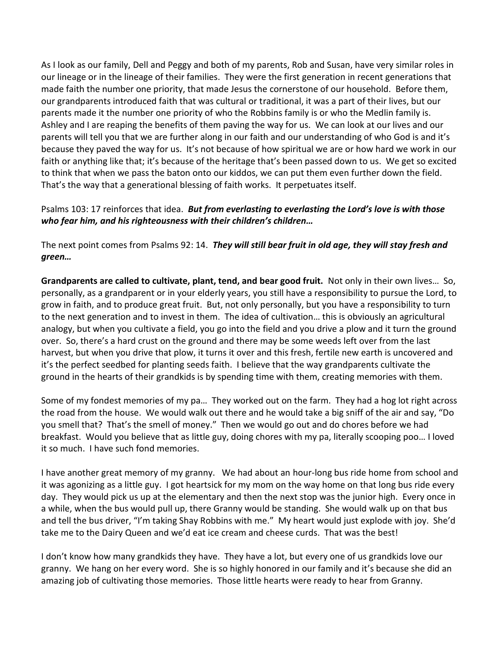As I look as our family, Dell and Peggy and both of my parents, Rob and Susan, have very similar roles in our lineage or in the lineage of their families. They were the first generation in recent generations that made faith the number one priority, that made Jesus the cornerstone of our household. Before them, our grandparents introduced faith that was cultural or traditional, it was a part of their lives, but our parents made it the number one priority of who the Robbins family is or who the Medlin family is. Ashley and I are reaping the benefits of them paving the way for us. We can look at our lives and our parents will tell you that we are further along in our faith and our understanding of who God is and it's because they paved the way for us. It's not because of how spiritual we are or how hard we work in our faith or anything like that; it's because of the heritage that's been passed down to us. We get so excited to think that when we pass the baton onto our kiddos, we can put them even further down the field. That's the way that a generational blessing of faith works. It perpetuates itself.

## Psalms 103: 17 reinforces that idea. *But from everlasting to everlasting the Lord's love is with those who fear him, and his righteousness with their children's children…*

The next point comes from Psalms 92: 14. *They will still bear fruit in old age, they will stay fresh and green…*

**Grandparents are called to cultivate, plant, tend, and bear good fruit.** Not only in their own lives… So, personally, as a grandparent or in your elderly years, you still have a responsibility to pursue the Lord, to grow in faith, and to produce great fruit. But, not only personally, but you have a responsibility to turn to the next generation and to invest in them. The idea of cultivation… this is obviously an agricultural analogy, but when you cultivate a field, you go into the field and you drive a plow and it turn the ground over. So, there's a hard crust on the ground and there may be some weeds left over from the last harvest, but when you drive that plow, it turns it over and this fresh, fertile new earth is uncovered and it's the perfect seedbed for planting seeds faith. I believe that the way grandparents cultivate the ground in the hearts of their grandkids is by spending time with them, creating memories with them.

Some of my fondest memories of my pa… They worked out on the farm. They had a hog lot right across the road from the house. We would walk out there and he would take a big sniff of the air and say, "Do you smell that? That's the smell of money." Then we would go out and do chores before we had breakfast. Would you believe that as little guy, doing chores with my pa, literally scooping poo… I loved it so much. I have such fond memories.

I have another great memory of my granny. We had about an hour-long bus ride home from school and it was agonizing as a little guy. I got heartsick for my mom on the way home on that long bus ride every day. They would pick us up at the elementary and then the next stop was the junior high. Every once in a while, when the bus would pull up, there Granny would be standing. She would walk up on that bus and tell the bus driver, "I'm taking Shay Robbins with me." My heart would just explode with joy. She'd take me to the Dairy Queen and we'd eat ice cream and cheese curds. That was the best!

I don't know how many grandkids they have. They have a lot, but every one of us grandkids love our granny. We hang on her every word. She is so highly honored in our family and it's because she did an amazing job of cultivating those memories. Those little hearts were ready to hear from Granny.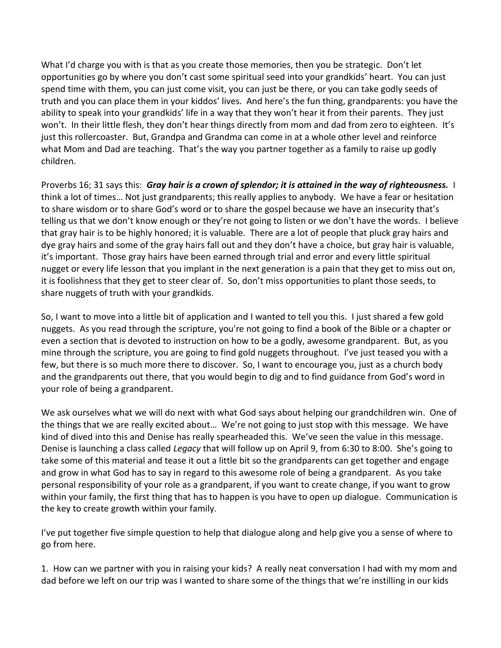What I'd charge you with is that as you create those memories, then you be strategic. Don't let opportunities go by where you don't cast some spiritual seed into your grandkids' heart. You can just spend time with them, you can just come visit, you can just be there, or you can take godly seeds of truth and you can place them in your kiddos' lives. And here's the fun thing, grandparents: you have the ability to speak into your grandkids' life in a way that they won't hear it from their parents. They just won't. In their little flesh, they don't hear things directly from mom and dad from zero to eighteen. It's just this rollercoaster. But, Grandpa and Grandma can come in at a whole other level and reinforce what Mom and Dad are teaching. That's the way you partner together as a family to raise up godly children.

Proverbs 16; 31 says this: *Gray hair is a crown of splendor; it is attained in the way of righteousness.* I think a lot of times… Not just grandparents; this really applies to anybody. We have a fear or hesitation to share wisdom or to share God's word or to share the gospel because we have an insecurity that's telling us that we don't know enough or they're not going to listen or we don't have the words. I believe that gray hair is to be highly honored; it is valuable. There are a lot of people that pluck gray hairs and dye gray hairs and some of the gray hairs fall out and they don't have a choice, but gray hair is valuable, it's important. Those gray hairs have been earned through trial and error and every little spiritual nugget or every life lesson that you implant in the next generation is a pain that they get to miss out on, it is foolishness that they get to steer clear of. So, don't miss opportunities to plant those seeds, to share nuggets of truth with your grandkids.

So, I want to move into a little bit of application and I wanted to tell you this. I just shared a few gold nuggets. As you read through the scripture, you're not going to find a book of the Bible or a chapter or even a section that is devoted to instruction on how to be a godly, awesome grandparent. But, as you mine through the scripture, you are going to find gold nuggets throughout. I've just teased you with a few, but there is so much more there to discover. So, I want to encourage you, just as a church body and the grandparents out there, that you would begin to dig and to find guidance from God's word in your role of being a grandparent.

We ask ourselves what we will do next with what God says about helping our grandchildren win. One of the things that we are really excited about… We're not going to just stop with this message. We have kind of dived into this and Denise has really spearheaded this. We've seen the value in this message. Denise is launching a class called *Legacy* that will follow up on April 9, from 6:30 to 8:00. She's going to take some of this material and tease it out a little bit so the grandparents can get together and engage and grow in what God has to say in regard to this awesome role of being a grandparent. As you take personal responsibility of your role as a grandparent, if you want to create change, if you want to grow within your family, the first thing that has to happen is you have to open up dialogue. Communication is the key to create growth within your family.

I've put together five simple question to help that dialogue along and help give you a sense of where to go from here.

1. How can we partner with you in raising your kids? A really neat conversation I had with my mom and dad before we left on our trip was I wanted to share some of the things that we're instilling in our kids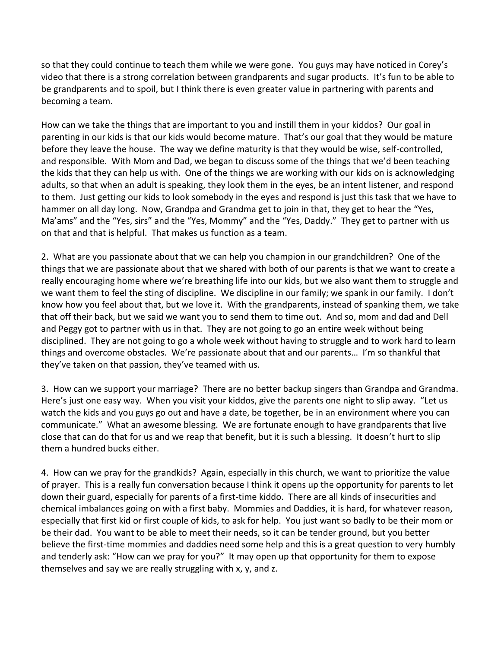so that they could continue to teach them while we were gone. You guys may have noticed in Corey's video that there is a strong correlation between grandparents and sugar products. It's fun to be able to be grandparents and to spoil, but I think there is even greater value in partnering with parents and becoming a team.

How can we take the things that are important to you and instill them in your kiddos? Our goal in parenting in our kids is that our kids would become mature. That's our goal that they would be mature before they leave the house. The way we define maturity is that they would be wise, self-controlled, and responsible. With Mom and Dad, we began to discuss some of the things that we'd been teaching the kids that they can help us with. One of the things we are working with our kids on is acknowledging adults, so that when an adult is speaking, they look them in the eyes, be an intent listener, and respond to them. Just getting our kids to look somebody in the eyes and respond is just this task that we have to hammer on all day long. Now, Grandpa and Grandma get to join in that, they get to hear the "Yes, Ma'ams" and the "Yes, sirs" and the "Yes, Mommy" and the "Yes, Daddy." They get to partner with us on that and that is helpful. That makes us function as a team.

2. What are you passionate about that we can help you champion in our grandchildren? One of the things that we are passionate about that we shared with both of our parents is that we want to create a really encouraging home where we're breathing life into our kids, but we also want them to struggle and we want them to feel the sting of discipline. We discipline in our family; we spank in our family. I don't know how you feel about that, but we love it. With the grandparents, instead of spanking them, we take that off their back, but we said we want you to send them to time out. And so, mom and dad and Dell and Peggy got to partner with us in that. They are not going to go an entire week without being disciplined. They are not going to go a whole week without having to struggle and to work hard to learn things and overcome obstacles. We're passionate about that and our parents… I'm so thankful that they've taken on that passion, they've teamed with us.

3. How can we support your marriage? There are no better backup singers than Grandpa and Grandma. Here's just one easy way. When you visit your kiddos, give the parents one night to slip away. "Let us watch the kids and you guys go out and have a date, be together, be in an environment where you can communicate." What an awesome blessing. We are fortunate enough to have grandparents that live close that can do that for us and we reap that benefit, but it is such a blessing. It doesn't hurt to slip them a hundred bucks either.

4. How can we pray for the grandkids? Again, especially in this church, we want to prioritize the value of prayer. This is a really fun conversation because I think it opens up the opportunity for parents to let down their guard, especially for parents of a first-time kiddo. There are all kinds of insecurities and chemical imbalances going on with a first baby. Mommies and Daddies, it is hard, for whatever reason, especially that first kid or first couple of kids, to ask for help. You just want so badly to be their mom or be their dad. You want to be able to meet their needs, so it can be tender ground, but you better believe the first-time mommies and daddies need some help and this is a great question to very humbly and tenderly ask: "How can we pray for you?" It may open up that opportunity for them to expose themselves and say we are really struggling with x, y, and z.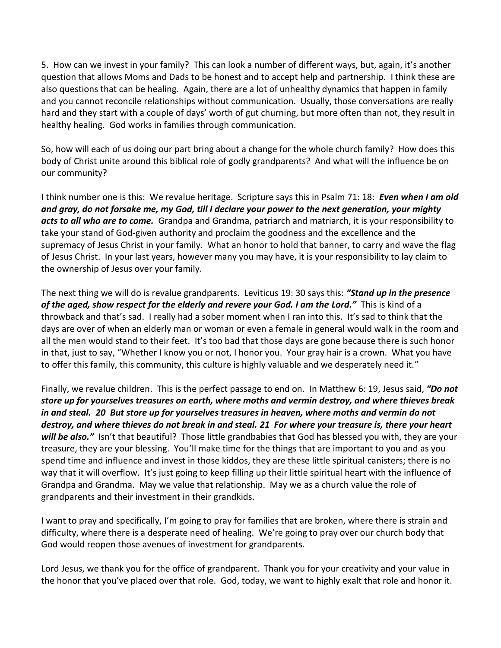5. How can we invest in your family? This can look a number of different ways, but, again, it's another question that allows Moms and Dads to be honest and to accept help and partnership. I think these are also questions that can be healing. Again, there are a lot of unhealthy dynamics that happen in family and you cannot reconcile relationships without communication. Usually, those conversations are really hard and they start with a couple of days' worth of gut churning, but more often than not, they result in healthy healing. God works in families through communication.

So, how will each of us doing our part bring about a change for the whole church family? How does this body of Christ unite around this biblical role of godly grandparents? And what will the influence be on our community?

I think number one is this: We revalue heritage. Scripture says this in Psalm 71: 18: *Even when I am old and gray, do not forsake me, my God, till I declare your power to the next generation, your mighty acts to all who are to come.* Grandpa and Grandma, patriarch and matriarch, it is your responsibility to take your stand of God-given authority and proclaim the goodness and the excellence and the supremacy of Jesus Christ in your family. What an honor to hold that banner, to carry and wave the flag of Jesus Christ. In your last years, however many you may have, it is your responsibility to lay claim to the ownership of Jesus over your family.

The next thing we will do is revalue grandparents. Leviticus 19: 30 says this: *"Stand up in the presence of the aged, show respect for the elderly and revere your God. I am the Lord."* This is kind of a throwback and that's sad. I really had a sober moment when I ran into this. It's sad to think that the days are over of when an elderly man or woman or even a female in general would walk in the room and all the men would stand to their feet. It's too bad that those days are gone because there is such honor in that, just to say, "Whether I know you or not, I honor you. Your gray hair is a crown. What you have to offer this family, this community, this culture is highly valuable and we desperately need it."

Finally, we revalue children. This is the perfect passage to end on. In Matthew 6: 19, Jesus said, *"Do not store up for yourselves treasures on earth, where moths and vermin destroy, and where thieves break in and steal. [20](http://www.studylight.org/desk/?q=mt%206:20&t1=en_niv&sr=1) But store up for yourselves treasures in heaven, where moths and vermin do not destroy, and where thieves do not break in and steal. [21](http://www.studylight.org/desk/?q=mt%206:21&t1=en_niv&sr=1) For where your treasure is, there your heart will be also."* Isn't that beautiful? Those little grandbabies that God has blessed you with, they are your treasure, they are your blessing. You'll make time for the things that are important to you and as you spend time and influence and invest in those kiddos, they are these little spiritual canisters; there is no way that it will overflow. It's just going to keep filling up their little spiritual heart with the influence of Grandpa and Grandma. May we value that relationship. May we as a church value the role of grandparents and their investment in their grandkids.

I want to pray and specifically, I'm going to pray for families that are broken, where there is strain and difficulty, where there is a desperate need of healing. We're going to pray over our church body that God would reopen those avenues of investment for grandparents.

Lord Jesus, we thank you for the office of grandparent. Thank you for your creativity and your value in the honor that you've placed over that role. God, today, we want to highly exalt that role and honor it.